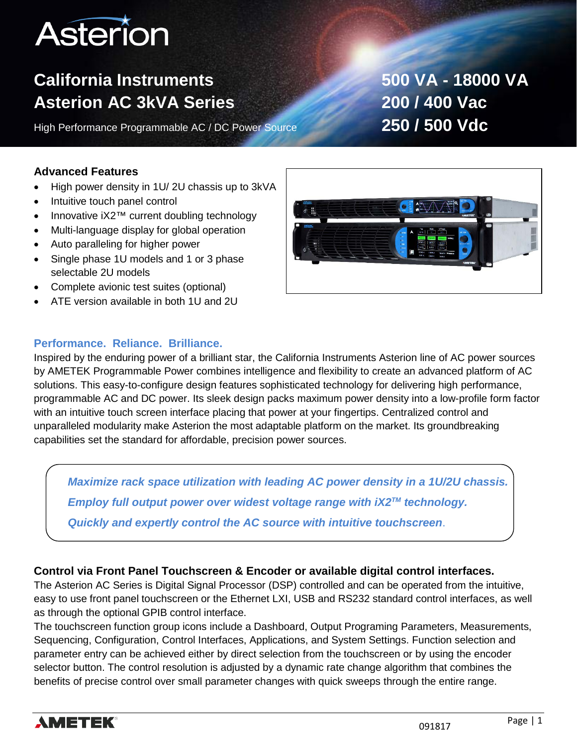# **Asterion**

# **California Instruments 500 VA - 18000 VA Asterion AC 3kVA Series 200 / 400 Vac**

High Performance Programmable AC / DC Power Source **250 / 500 Vdc**

### **Advanced Features**

- High power density in 1U/ 2U chassis up to 3kVA
- Intuitive touch panel control
- Innovative iX2™ current doubling technology
- Multi-language display for global operation
- Auto paralleling for higher power
- Single phase 1U models and 1 or 3 phase selectable 2U models
- Complete avionic test suites (optional)
- ATE version available in both 1U and 2U

### **Performance. Reliance. Brilliance.**

Inspired by the enduring power of a brilliant star, the California Instruments Asterion line of AC power sources by AMETEK Programmable Power combines intelligence and flexibility to create an advanced platform of AC solutions. This easy-to-configure design features sophisticated technology for delivering high performance, programmable AC and DC power. Its sleek design packs maximum power density into a low-profile form factor with an intuitive touch screen interface placing that power at your fingertips. Centralized control and unparalleled modularity make Asterion the most adaptable platform on the market. Its groundbreaking capabilities set the standard for affordable, precision power sources.

*Maximize rack space utilization with leading AC power density in a 1U/2U chassis. Employ full output power over widest voltage range with iX2TM technology. Quickly and expertly control the AC source with intuitive touchscreen*.

### **Control via Front Panel Touchscreen & Encoder or available digital control interfaces.**

The Asterion AC Series is Digital Signal Processor (DSP) controlled and can be operated from the intuitive, easy to use front panel touchscreen or the Ethernet LXI, USB and RS232 standard control interfaces, as well as through the optional GPIB control interface.

The touchscreen function group icons include a Dashboard, Output Programing Parameters, Measurements, Sequencing, Configuration, Control Interfaces, Applications, and System Settings. Function selection and parameter entry can be achieved either by direct selection from the touchscreen or by using the encoder selector button. The control resolution is adjusted by a dynamic rate change algorithm that combines the benefits of precise control over small parameter changes with quick sweeps through the entire range.



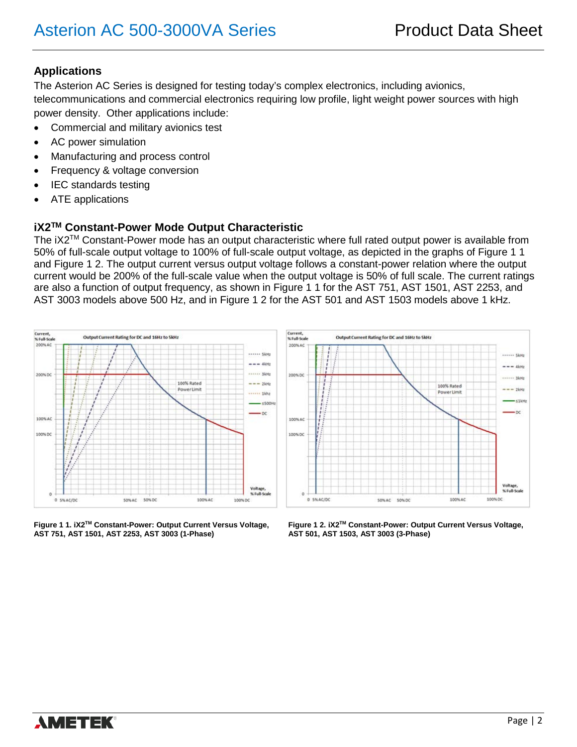### **Applications**

The Asterion AC Series is designed for testing today's complex electronics, including avionics, telecommunications and commercial electronics requiring low profile, light weight power sources with high power density. Other applications include:

- Commercial and military avionics test
- AC power simulation
- Manufacturing and process control
- Frequency & voltage conversion
- IEC standards testing
- ATE applications

### **iX2TM Constant-Power Mode Output Characteristic**

The iX2TM Constant-Power mode has an output characteristic where full rated output power is available from 50% of full-scale output voltage to 100% of full-scale output voltage, as depicted in the graphs of Figure 1 1 and Figure 1 2. The output current versus output voltage follows a constant-power relation where the output current would be 200% of the full-scale value when the output voltage is 50% of full scale. The current ratings are also a function of output frequency, as shown in Figure 1 1 for the AST 751, AST 1501, AST 2253, and AST 3003 models above 500 Hz, and in Figure 1 2 for the AST 501 and AST 1503 models above 1 kHz.



**Figure 1 1. iX2TM Constant-Power: Output Current Versus Voltage, Figure 1 2. iX2TM Constant-Power: Output Current Versus Voltage, AST 751, AST 1501, AST 2253, AST 3003 (1-Phase) AST 501, AST 1503, AST 3003 (3-Phase)**

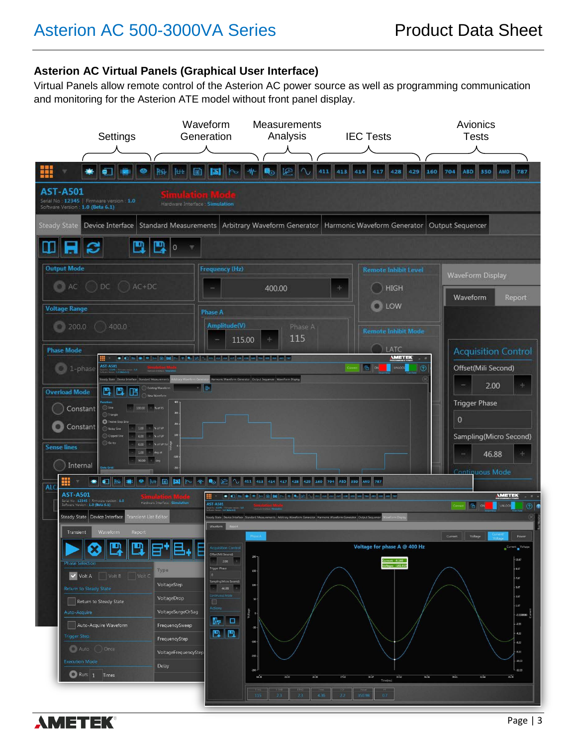### **Asterion AC Virtual Panels (Graphical User Interface)**

Virtual Panels allow remote control of the Asterion AC power source as well as programming communication and monitoring for the Asterion ATE model without front panel display.



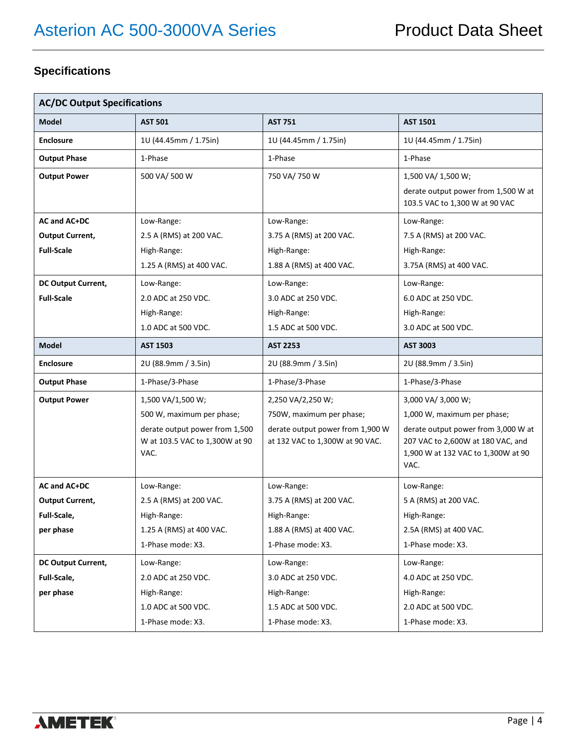### **Specifications**

| <b>AC/DC Output Specifications</b> |                                                                          |                                                                     |                                                                                                                        |
|------------------------------------|--------------------------------------------------------------------------|---------------------------------------------------------------------|------------------------------------------------------------------------------------------------------------------------|
| <b>Model</b>                       | <b>AST 501</b>                                                           | <b>AST 751</b>                                                      | <b>AST 1501</b>                                                                                                        |
| <b>Enclosure</b>                   | 1U (44.45mm / 1.75in)                                                    | 1U (44.45mm / 1.75in)                                               | 1U (44.45mm / 1.75in)                                                                                                  |
| <b>Output Phase</b>                | 1-Phase                                                                  | 1-Phase                                                             | 1-Phase                                                                                                                |
| <b>Output Power</b>                | 500 VA/ 500 W                                                            | 750 VA/ 750 W                                                       | 1,500 VA/ 1,500 W;<br>derate output power from 1,500 W at<br>103.5 VAC to 1,300 W at 90 VAC                            |
| AC and AC+DC                       | Low-Range:                                                               | Low-Range:                                                          | Low-Range:                                                                                                             |
| <b>Output Current,</b>             | 2.5 A (RMS) at 200 VAC.                                                  | 3.75 A (RMS) at 200 VAC.                                            | 7.5 A (RMS) at 200 VAC.                                                                                                |
| <b>Full-Scale</b>                  | High-Range:                                                              | High-Range:                                                         | High-Range:                                                                                                            |
|                                    | 1.25 A (RMS) at 400 VAC.                                                 | 1.88 A (RMS) at 400 VAC.                                            | 3.75A (RMS) at 400 VAC.                                                                                                |
| DC Output Current,                 | Low-Range:                                                               | Low-Range:                                                          | Low-Range:                                                                                                             |
| <b>Full-Scale</b>                  | 2.0 ADC at 250 VDC.                                                      | 3.0 ADC at 250 VDC.                                                 | 6.0 ADC at 250 VDC.                                                                                                    |
|                                    | High-Range:                                                              | High-Range:                                                         | High-Range:                                                                                                            |
|                                    | 1.0 ADC at 500 VDC.                                                      | 1.5 ADC at 500 VDC.                                                 | 3.0 ADC at 500 VDC.                                                                                                    |
| <b>Model</b>                       | <b>AST 1503</b>                                                          | <b>AST 2253</b>                                                     | <b>AST 3003</b>                                                                                                        |
| <b>Enclosure</b>                   | 2U (88.9mm / 3.5in)                                                      | 2U (88.9mm / 3.5in)                                                 | 2U (88.9mm / 3.5in)                                                                                                    |
| <b>Output Phase</b>                | 1-Phase/3-Phase                                                          | 1-Phase/3-Phase                                                     | 1-Phase/3-Phase                                                                                                        |
| <b>Output Power</b>                | 1,500 VA/1,500 W;                                                        | 2,250 VA/2,250 W;                                                   | 3,000 VA/ 3,000 W;                                                                                                     |
|                                    | 500 W, maximum per phase;                                                | 750W, maximum per phase;                                            | 1,000 W, maximum per phase;                                                                                            |
|                                    | derate output power from 1,500<br>W at 103.5 VAC to 1,300W at 90<br>VAC. | derate output power from 1,900 W<br>at 132 VAC to 1,300W at 90 VAC. | derate output power from 3,000 W at<br>207 VAC to 2,600W at 180 VAC, and<br>1,900 W at 132 VAC to 1,300W at 90<br>VAC. |
| AC and AC+DC                       | Low-Range:                                                               | Low-Range:                                                          | Low-Range:                                                                                                             |
| <b>Output Current,</b>             | 2.5 A (RMS) at 200 VAC.                                                  | 3.75 A (RMS) at 200 VAC.                                            | 5 A (RMS) at 200 VAC.                                                                                                  |
| Full-Scale,                        | High-Range:                                                              | High-Range:                                                         | High-Range:                                                                                                            |
| per phase                          | 1.25 A (RMS) at 400 VAC.                                                 | 1.88 A (RMS) at 400 VAC.                                            | 2.5A (RMS) at 400 VAC.                                                                                                 |
|                                    | 1-Phase mode: X3.                                                        | 1-Phase mode: X3.                                                   | 1-Phase mode: X3.                                                                                                      |
| <b>DC Output Current,</b>          | Low-Range:                                                               | Low-Range:                                                          | Low-Range:                                                                                                             |
| Full-Scale,                        | 2.0 ADC at 250 VDC.                                                      | 3.0 ADC at 250 VDC.                                                 | 4.0 ADC at 250 VDC.                                                                                                    |
| per phase                          | High-Range:                                                              | High-Range:                                                         | High-Range:                                                                                                            |
|                                    | 1.0 ADC at 500 VDC.                                                      | 1.5 ADC at 500 VDC.                                                 | 2.0 ADC at 500 VDC.                                                                                                    |
|                                    | 1-Phase mode: X3.                                                        | 1-Phase mode: X3.                                                   | 1-Phase mode: X3.                                                                                                      |

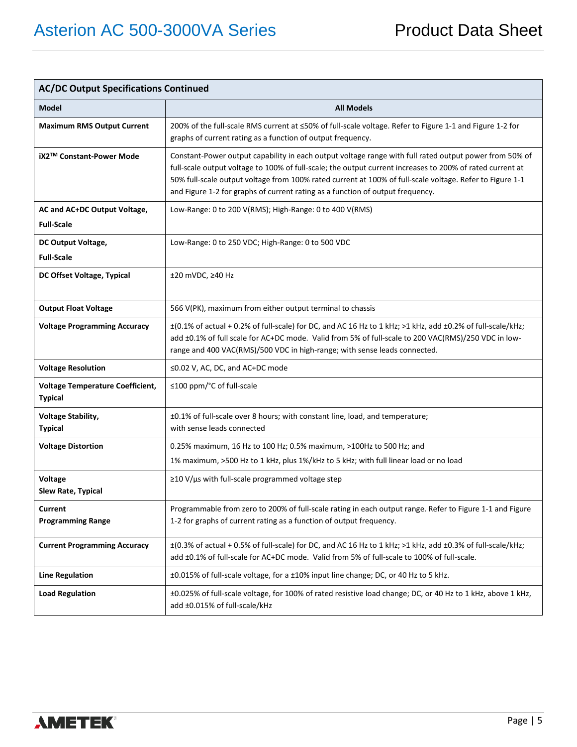| <b>AC/DC Output Specifications Continued</b>              |                                                                                                                                                                                                                                                                                                                                                                                                                   |  |
|-----------------------------------------------------------|-------------------------------------------------------------------------------------------------------------------------------------------------------------------------------------------------------------------------------------------------------------------------------------------------------------------------------------------------------------------------------------------------------------------|--|
| <b>Model</b>                                              | <b>All Models</b>                                                                                                                                                                                                                                                                                                                                                                                                 |  |
| <b>Maximum RMS Output Current</b>                         | 200% of the full-scale RMS current at ≤50% of full-scale voltage. Refer to Figure 1-1 and Figure 1-2 for<br>graphs of current rating as a function of output frequency.                                                                                                                                                                                                                                           |  |
| iX2™ Constant-Power Mode                                  | Constant-Power output capability in each output voltage range with full rated output power from 50% of<br>full-scale output voltage to 100% of full-scale; the output current increases to 200% of rated current at<br>50% full-scale output voltage from 100% rated current at 100% of full-scale voltage. Refer to Figure 1-1<br>and Figure 1-2 for graphs of current rating as a function of output frequency. |  |
| AC and AC+DC Output Voltage,<br><b>Full-Scale</b>         | Low-Range: 0 to 200 V(RMS); High-Range: 0 to 400 V(RMS)                                                                                                                                                                                                                                                                                                                                                           |  |
| DC Output Voltage,<br><b>Full-Scale</b>                   | Low-Range: 0 to 250 VDC; High-Range: 0 to 500 VDC                                                                                                                                                                                                                                                                                                                                                                 |  |
| DC Offset Voltage, Typical                                | $±20$ mVDC, $≥40$ Hz                                                                                                                                                                                                                                                                                                                                                                                              |  |
| <b>Output Float Voltage</b>                               | 566 V(PK), maximum from either output terminal to chassis                                                                                                                                                                                                                                                                                                                                                         |  |
| <b>Voltage Programming Accuracy</b>                       | ±(0.1% of actual + 0.2% of full-scale) for DC, and AC 16 Hz to 1 kHz; >1 kHz, add ±0.2% of full-scale/kHz;<br>add ±0.1% of full scale for AC+DC mode. Valid from 5% of full-scale to 200 VAC(RMS)/250 VDC in low-<br>range and 400 VAC(RMS)/500 VDC in high-range; with sense leads connected.                                                                                                                    |  |
| <b>Voltage Resolution</b>                                 | ≤0.02 V, AC, DC, and AC+DC mode                                                                                                                                                                                                                                                                                                                                                                                   |  |
| <b>Voltage Temperature Coefficient,</b><br><b>Typical</b> | ≤100 ppm/°C of full-scale                                                                                                                                                                                                                                                                                                                                                                                         |  |
| <b>Voltage Stability,</b><br><b>Typical</b>               | ±0.1% of full-scale over 8 hours; with constant line, load, and temperature;<br>with sense leads connected                                                                                                                                                                                                                                                                                                        |  |
| <b>Voltage Distortion</b>                                 | 0.25% maximum, 16 Hz to 100 Hz; 0.5% maximum, >100Hz to 500 Hz; and<br>1% maximum, >500 Hz to 1 kHz, plus 1%/kHz to 5 kHz; with full linear load or no load                                                                                                                                                                                                                                                       |  |
| <b>Voltage</b><br>Slew Rate, Typical                      | $\geq$ 10 V/ $\mu$ s with full-scale programmed voltage step                                                                                                                                                                                                                                                                                                                                                      |  |
| <b>Current</b><br><b>Programming Range</b>                | Programmable from zero to 200% of full-scale rating in each output range. Refer to Figure 1-1 and Figure<br>1-2 for graphs of current rating as a function of output frequency.                                                                                                                                                                                                                                   |  |
| <b>Current Programming Accuracy</b>                       | ±(0.3% of actual + 0.5% of full-scale) for DC, and AC 16 Hz to 1 kHz; >1 kHz, add ±0.3% of full-scale/kHz;<br>add ±0.1% of full-scale for AC+DC mode. Valid from 5% of full-scale to 100% of full-scale.                                                                                                                                                                                                          |  |
| <b>Line Regulation</b>                                    | ±0.015% of full-scale voltage, for a ±10% input line change; DC, or 40 Hz to 5 kHz.                                                                                                                                                                                                                                                                                                                               |  |
| <b>Load Regulation</b>                                    | ±0.025% of full-scale voltage, for 100% of rated resistive load change; DC, or 40 Hz to 1 kHz, above 1 kHz,<br>add ±0.015% of full-scale/kHz                                                                                                                                                                                                                                                                      |  |

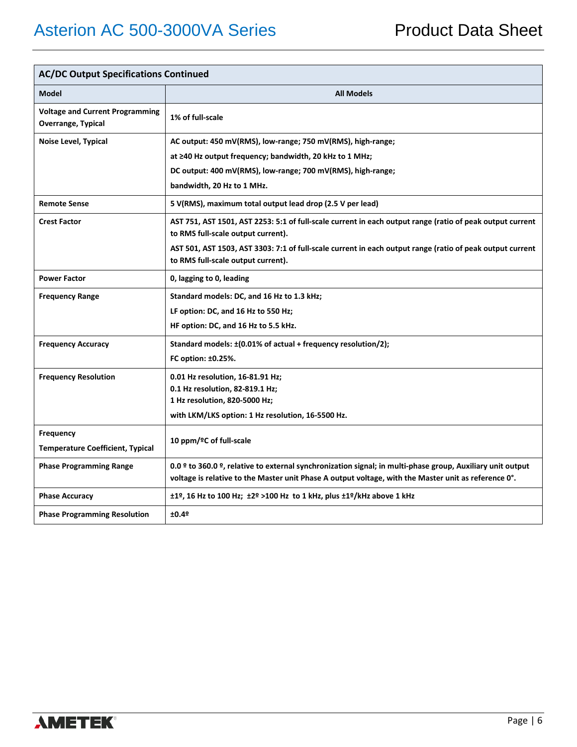| <b>AC/DC Output Specifications Continued</b>                 |                                                                                                                                                 |  |
|--------------------------------------------------------------|-------------------------------------------------------------------------------------------------------------------------------------------------|--|
| <b>Model</b>                                                 | <b>All Models</b>                                                                                                                               |  |
| <b>Voltage and Current Programming</b><br>Overrange, Typical | 1% of full-scale                                                                                                                                |  |
| Noise Level, Typical                                         | AC output: 450 mV(RMS), low-range; 750 mV(RMS), high-range;                                                                                     |  |
|                                                              | at ≥40 Hz output frequency; bandwidth, 20 kHz to 1 MHz;                                                                                         |  |
|                                                              | DC output: 400 mV(RMS), low-range; 700 mV(RMS), high-range;                                                                                     |  |
|                                                              | bandwidth, 20 Hz to 1 MHz.                                                                                                                      |  |
| <b>Remote Sense</b>                                          | 5 V(RMS), maximum total output lead drop (2.5 V per lead)                                                                                       |  |
| <b>Crest Factor</b>                                          | AST 751, AST 1501, AST 2253: 5:1 of full-scale current in each output range (ratio of peak output current<br>to RMS full-scale output current). |  |
|                                                              | AST 501, AST 1503, AST 3303: 7:1 of full-scale current in each output range (ratio of peak output current<br>to RMS full-scale output current). |  |
| <b>Power Factor</b>                                          | 0, lagging to 0, leading                                                                                                                        |  |
| <b>Frequency Range</b>                                       | Standard models: DC, and 16 Hz to 1.3 kHz;                                                                                                      |  |
|                                                              | LF option: DC, and 16 Hz to 550 Hz;                                                                                                             |  |
|                                                              | HF option: DC, and 16 Hz to 5.5 kHz.                                                                                                            |  |
| <b>Frequency Accuracy</b>                                    | Standard models: ±(0.01% of actual + frequency resolution/2);                                                                                   |  |
|                                                              | FC option: ±0.25%.                                                                                                                              |  |
| <b>Frequency Resolution</b>                                  | 0.01 Hz resolution, 16-81.91 Hz;                                                                                                                |  |
|                                                              | 0.1 Hz resolution, 82-819.1 Hz;                                                                                                                 |  |
|                                                              | 1 Hz resolution, 820-5000 Hz;                                                                                                                   |  |
|                                                              | with LKM/LKS option: 1 Hz resolution, 16-5500 Hz.                                                                                               |  |
| <b>Frequency</b>                                             | 10 ppm/ºC of full-scale                                                                                                                         |  |
| <b>Temperature Coefficient, Typical</b>                      |                                                                                                                                                 |  |
| <b>Phase Programming Range</b>                               | 0.0 º to 360.0 º, relative to external synchronization signal; in multi-phase group, Auxiliary unit output                                      |  |
|                                                              | voltage is relative to the Master unit Phase A output voltage, with the Master unit as reference 0°.                                            |  |
| <b>Phase Accuracy</b>                                        | ±1º, 16 Hz to 100 Hz; ±2º >100 Hz to 1 kHz, plus ±1º/kHz above 1 kHz                                                                            |  |
| <b>Phase Programming Resolution</b>                          | ±0.49                                                                                                                                           |  |

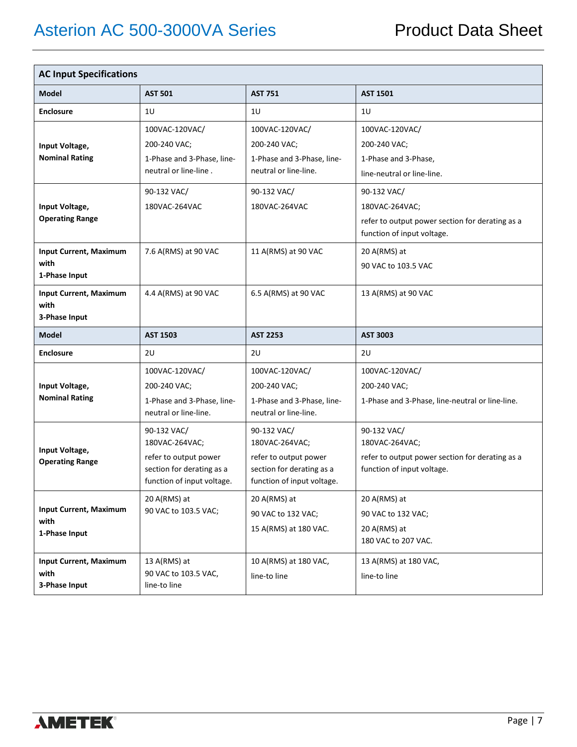| <b>AC Input Specifications</b>                         |                                                                                                                   |                                                                                                                   |                                                                                                                |
|--------------------------------------------------------|-------------------------------------------------------------------------------------------------------------------|-------------------------------------------------------------------------------------------------------------------|----------------------------------------------------------------------------------------------------------------|
| <b>Model</b>                                           | <b>AST 501</b>                                                                                                    | <b>AST 751</b>                                                                                                    | <b>AST 1501</b>                                                                                                |
| <b>Enclosure</b>                                       | 10                                                                                                                | 10                                                                                                                | 10                                                                                                             |
| Input Voltage,<br><b>Nominal Rating</b>                | 100VAC-120VAC/<br>200-240 VAC;<br>1-Phase and 3-Phase, line-<br>neutral or line-line.                             | 100VAC-120VAC/<br>200-240 VAC;<br>1-Phase and 3-Phase, line-<br>neutral or line-line.                             | 100VAC-120VAC/<br>200-240 VAC;<br>1-Phase and 3-Phase,<br>line-neutral or line-line.                           |
| Input Voltage,<br><b>Operating Range</b>               | 90-132 VAC/<br>180VAC-264VAC                                                                                      | 90-132 VAC/<br>180VAC-264VAC                                                                                      | 90-132 VAC/<br>180VAC-264VAC;<br>refer to output power section for derating as a<br>function of input voltage. |
| <b>Input Current, Maximum</b><br>with<br>1-Phase Input | 7.6 A(RMS) at 90 VAC                                                                                              | 11 A(RMS) at 90 VAC                                                                                               | 20 A(RMS) at<br>90 VAC to 103.5 VAC                                                                            |
| <b>Input Current, Maximum</b><br>with<br>3-Phase Input | 4.4 A(RMS) at 90 VAC                                                                                              | 6.5 A(RMS) at 90 VAC                                                                                              | 13 A(RMS) at 90 VAC                                                                                            |
| <b>Model</b>                                           | <b>AST 1503</b>                                                                                                   | <b>AST 2253</b>                                                                                                   | <b>AST 3003</b>                                                                                                |
| <b>Enclosure</b>                                       | 2U                                                                                                                | 2U                                                                                                                | 2U                                                                                                             |
| Input Voltage,<br><b>Nominal Rating</b>                | 100VAC-120VAC/<br>200-240 VAC;<br>1-Phase and 3-Phase, line-<br>neutral or line-line.                             | 100VAC-120VAC/<br>200-240 VAC;<br>1-Phase and 3-Phase, line-<br>neutral or line-line.                             | 100VAC-120VAC/<br>200-240 VAC;<br>1-Phase and 3-Phase, line-neutral or line-line.                              |
| Input Voltage,<br><b>Operating Range</b>               | 90-132 VAC/<br>180VAC-264VAC;<br>refer to output power<br>section for derating as a<br>function of input voltage. | 90-132 VAC/<br>180VAC-264VAC;<br>refer to output power<br>section for derating as a<br>function of input voltage. | 90-132 VAC/<br>180VAC-264VAC;<br>refer to output power section for derating as a<br>function of input voltage. |
| <b>Input Current, Maximum</b><br>with<br>1-Phase Input | 20 A(RMS) at<br>90 VAC to 103.5 VAC;                                                                              | 20 A(RMS) at<br>90 VAC to 132 VAC;<br>15 A(RMS) at 180 VAC.                                                       | 20 A(RMS) at<br>90 VAC to 132 VAC;<br>20 A(RMS) at<br>180 VAC to 207 VAC.                                      |
| <b>Input Current, Maximum</b><br>with<br>3-Phase Input | 13 A(RMS) at<br>90 VAC to 103.5 VAC,<br>line-to line                                                              | 10 A(RMS) at 180 VAC,<br>line-to line                                                                             | 13 A(RMS) at 180 VAC,<br>line-to line                                                                          |

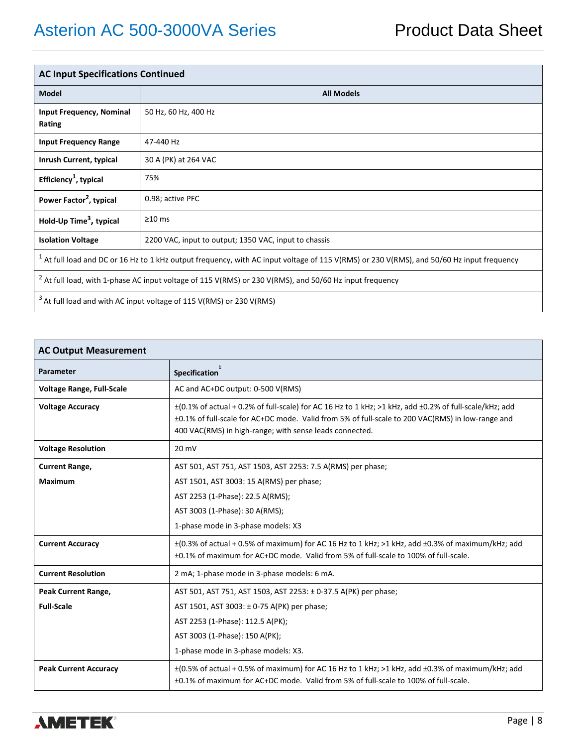| <b>AC Input Specifications Continued</b>                                                                                                    |                                                       |  |
|---------------------------------------------------------------------------------------------------------------------------------------------|-------------------------------------------------------|--|
| <b>Model</b>                                                                                                                                | <b>All Models</b>                                     |  |
| <b>Input Frequency, Nominal</b><br>Rating                                                                                                   | 50 Hz, 60 Hz, 400 Hz                                  |  |
| <b>Input Frequency Range</b>                                                                                                                | 47-440 Hz                                             |  |
| Inrush Current, typical                                                                                                                     | 30 A (PK) at 264 VAC                                  |  |
| Efficiency <sup>1</sup> , typical                                                                                                           | 75%                                                   |  |
| Power Factor <sup>2</sup> , typical                                                                                                         | 0.98; active PFC                                      |  |
| Hold-Up Time <sup>3</sup> , typical                                                                                                         | $\geq$ 10 ms                                          |  |
| <b>Isolation Voltage</b>                                                                                                                    | 2200 VAC, input to output; 1350 VAC, input to chassis |  |
| $1$ At full load and DC or 16 Hz to 1 kHz output frequency, with AC input voltage of 115 V(RMS) or 230 V(RMS), and 50/60 Hz input frequency |                                                       |  |
| $^2$ At full load, with 1-phase AC input voltage of 115 V(RMS) or 230 V(RMS), and 50/60 Hz input frequency                                  |                                                       |  |
| <sup>3</sup> At full load and with AC input voltage of 115 V(RMS) or 230 V(RMS)                                                             |                                                       |  |

| <b>AC Output Measurement</b>     |                                                                                                                                                                                                                                                                                 |  |
|----------------------------------|---------------------------------------------------------------------------------------------------------------------------------------------------------------------------------------------------------------------------------------------------------------------------------|--|
| Parameter                        | <b>Specification</b>                                                                                                                                                                                                                                                            |  |
| <b>Voltage Range, Full-Scale</b> | AC and AC+DC output: 0-500 V(RMS)                                                                                                                                                                                                                                               |  |
| <b>Voltage Accuracy</b>          | $\pm$ (0.1% of actual + 0.2% of full-scale) for AC 16 Hz to 1 kHz; >1 kHz, add $\pm$ 0.2% of full-scale/kHz; add<br>±0.1% of full-scale for AC+DC mode. Valid from 5% of full-scale to 200 VAC(RMS) in low-range and<br>400 VAC(RMS) in high-range; with sense leads connected. |  |
| <b>Voltage Resolution</b>        | 20 mV                                                                                                                                                                                                                                                                           |  |
| <b>Current Range,</b>            | AST 501, AST 751, AST 1503, AST 2253: 7.5 A(RMS) per phase;                                                                                                                                                                                                                     |  |
| <b>Maximum</b>                   | AST 1501, AST 3003: 15 A(RMS) per phase;                                                                                                                                                                                                                                        |  |
|                                  | AST 2253 (1-Phase): 22.5 A(RMS);                                                                                                                                                                                                                                                |  |
|                                  | AST 3003 (1-Phase): 30 A(RMS);                                                                                                                                                                                                                                                  |  |
|                                  | 1-phase mode in 3-phase models: X3                                                                                                                                                                                                                                              |  |
| <b>Current Accuracy</b>          | $\pm$ (0.3% of actual + 0.5% of maximum) for AC 16 Hz to 1 kHz; >1 kHz, add $\pm$ 0.3% of maximum/kHz; add<br>±0.1% of maximum for AC+DC mode. Valid from 5% of full-scale to 100% of full-scale.                                                                               |  |
| <b>Current Resolution</b>        | 2 mA; 1-phase mode in 3-phase models: 6 mA.                                                                                                                                                                                                                                     |  |
| Peak Current Range,              | AST 501, AST 751, AST 1503, AST 2253: ± 0-37.5 A(PK) per phase;                                                                                                                                                                                                                 |  |
| <b>Full-Scale</b>                | AST 1501, AST 3003: ± 0-75 A(PK) per phase;                                                                                                                                                                                                                                     |  |
|                                  | AST 2253 (1-Phase): 112.5 A(PK);                                                                                                                                                                                                                                                |  |
|                                  | AST 3003 (1-Phase): 150 A(PK);                                                                                                                                                                                                                                                  |  |
|                                  | 1-phase mode in 3-phase models: X3.                                                                                                                                                                                                                                             |  |
| <b>Peak Current Accuracy</b>     | $\pm$ (0.5% of actual + 0.5% of maximum) for AC 16 Hz to 1 kHz; >1 kHz, add $\pm$ 0.3% of maximum/kHz; add<br>±0.1% of maximum for AC+DC mode. Valid from 5% of full-scale to 100% of full-scale.                                                                               |  |

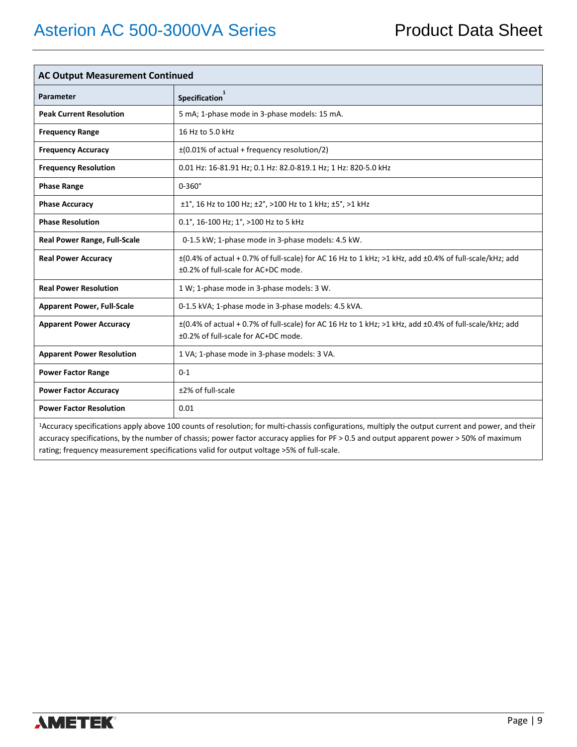| <b>AC Output Measurement Continued</b> |                                                                                                                                                         |  |
|----------------------------------------|---------------------------------------------------------------------------------------------------------------------------------------------------------|--|
| Parameter                              | <b>Specification</b>                                                                                                                                    |  |
| <b>Peak Current Resolution</b>         | 5 mA; 1-phase mode in 3-phase models: 15 mA.                                                                                                            |  |
| <b>Frequency Range</b>                 | 16 Hz to 5.0 kHz                                                                                                                                        |  |
| <b>Frequency Accuracy</b>              | $\pm$ (0.01% of actual + frequency resolution/2)                                                                                                        |  |
| <b>Frequency Resolution</b>            | 0.01 Hz: 16-81.91 Hz; 0.1 Hz: 82.0-819.1 Hz; 1 Hz: 820-5.0 kHz                                                                                          |  |
| <b>Phase Range</b>                     | $0-360^\circ$                                                                                                                                           |  |
| <b>Phase Accuracy</b>                  | ±1°, 16 Hz to 100 Hz; ±2°, >100 Hz to 1 kHz; ±5°, >1 kHz                                                                                                |  |
| <b>Phase Resolution</b>                | 0.1°, 16-100 Hz; 1°, >100 Hz to 5 kHz                                                                                                                   |  |
| <b>Real Power Range, Full-Scale</b>    | 0-1.5 kW; 1-phase mode in 3-phase models: 4.5 kW.                                                                                                       |  |
| <b>Real Power Accuracy</b>             | ±(0.4% of actual + 0.7% of full-scale) for AC 16 Hz to 1 kHz; >1 kHz, add ±0.4% of full-scale/kHz; add<br>±0.2% of full-scale for AC+DC mode.           |  |
| <b>Real Power Resolution</b>           | 1 W; 1-phase mode in 3-phase models: 3 W.                                                                                                               |  |
| <b>Apparent Power, Full-Scale</b>      | 0-1.5 kVA; 1-phase mode in 3-phase models: 4.5 kVA.                                                                                                     |  |
| <b>Apparent Power Accuracy</b>         | $\pm$ (0.4% of actual + 0.7% of full-scale) for AC 16 Hz to 1 kHz; >1 kHz, add $\pm$ 0.4% of full-scale/kHz; add<br>±0.2% of full-scale for AC+DC mode. |  |
| <b>Apparent Power Resolution</b>       | 1 VA; 1-phase mode in 3-phase models: 3 VA.                                                                                                             |  |
| <b>Power Factor Range</b>              | $0 - 1$                                                                                                                                                 |  |
| <b>Power Factor Accuracy</b>           | ±2% of full-scale                                                                                                                                       |  |
| <b>Power Factor Resolution</b>         | 0.01                                                                                                                                                    |  |

1Accuracy specifications apply above 100 counts of resolution; for multi-chassis configurations, multiply the output current and power, and their accuracy specifications, by the number of chassis; power factor accuracy applies for PF > 0.5 and output apparent power > 50% of maximum rating; frequency measurement specifications valid for output voltage >5% of full-scale.

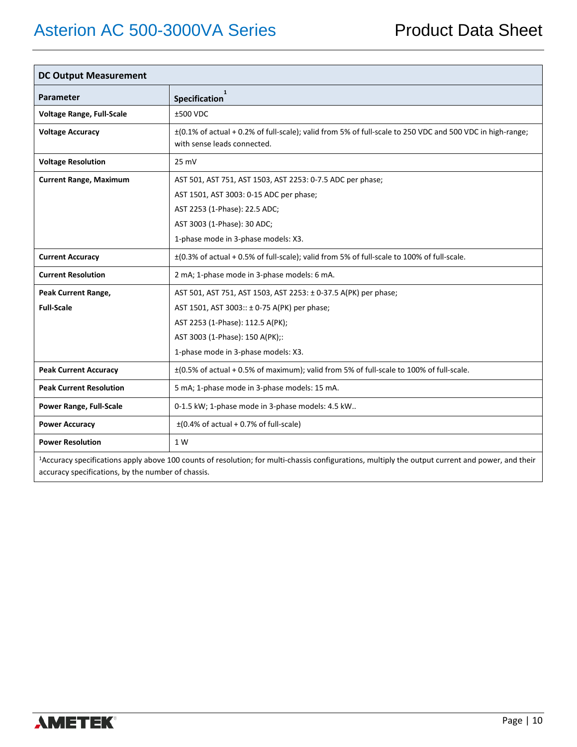| <b>DC Output Measurement</b>                                                                                                                                  |                                                                                                                                          |  |
|---------------------------------------------------------------------------------------------------------------------------------------------------------------|------------------------------------------------------------------------------------------------------------------------------------------|--|
| <b>Parameter</b>                                                                                                                                              | $\mathbf{1}$<br><b>Specification</b>                                                                                                     |  |
| <b>Voltage Range, Full-Scale</b>                                                                                                                              | ±500 VDC                                                                                                                                 |  |
| <b>Voltage Accuracy</b>                                                                                                                                       | ±(0.1% of actual + 0.2% of full-scale); valid from 5% of full-scale to 250 VDC and 500 VDC in high-range;<br>with sense leads connected. |  |
| <b>Voltage Resolution</b>                                                                                                                                     | 25 mV                                                                                                                                    |  |
| <b>Current Range, Maximum</b>                                                                                                                                 | AST 501, AST 751, AST 1503, AST 2253: 0-7.5 ADC per phase;                                                                               |  |
|                                                                                                                                                               | AST 1501, AST 3003: 0-15 ADC per phase;                                                                                                  |  |
|                                                                                                                                                               | AST 2253 (1-Phase): 22.5 ADC;                                                                                                            |  |
|                                                                                                                                                               | AST 3003 (1-Phase): 30 ADC;                                                                                                              |  |
|                                                                                                                                                               | 1-phase mode in 3-phase models: X3.                                                                                                      |  |
| <b>Current Accuracy</b>                                                                                                                                       | ±(0.3% of actual + 0.5% of full-scale); valid from 5% of full-scale to 100% of full-scale.                                               |  |
| <b>Current Resolution</b>                                                                                                                                     | 2 mA; 1-phase mode in 3-phase models: 6 mA.                                                                                              |  |
| Peak Current Range,                                                                                                                                           | AST 501, AST 751, AST 1503, AST 2253: ± 0-37.5 A(PK) per phase;                                                                          |  |
| <b>Full-Scale</b>                                                                                                                                             | AST 1501, AST 3003:: ± 0-75 A(PK) per phase;                                                                                             |  |
|                                                                                                                                                               | AST 2253 (1-Phase): 112.5 A(PK);                                                                                                         |  |
|                                                                                                                                                               | AST 3003 (1-Phase): 150 A(PK);:                                                                                                          |  |
|                                                                                                                                                               | 1-phase mode in 3-phase models: X3.                                                                                                      |  |
| <b>Peak Current Accuracy</b>                                                                                                                                  | ±(0.5% of actual + 0.5% of maximum); valid from 5% of full-scale to 100% of full-scale.                                                  |  |
| <b>Peak Current Resolution</b>                                                                                                                                | 5 mA; 1-phase mode in 3-phase models: 15 mA.                                                                                             |  |
| <b>Power Range, Full-Scale</b>                                                                                                                                | 0-1.5 kW; 1-phase mode in 3-phase models: 4.5 kW                                                                                         |  |
| <b>Power Accuracy</b>                                                                                                                                         | $\pm$ (0.4% of actual + 0.7% of full-scale)                                                                                              |  |
| <b>Power Resolution</b>                                                                                                                                       | 1 W                                                                                                                                      |  |
| <sup>1</sup> Accuracy specifications apply above 100 counts of resolution; for multi-chassis configurations, multiply the output current and power, and their |                                                                                                                                          |  |

accuracy specifications, by the number of chassis.

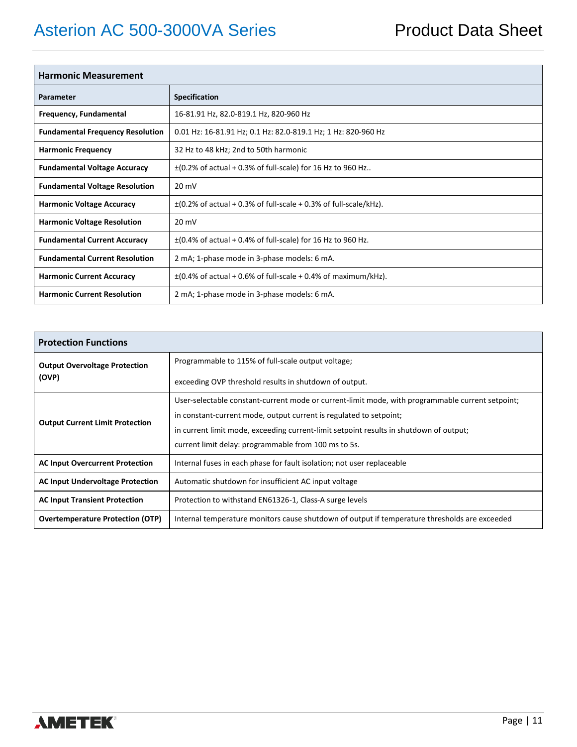| <b>Harmonic Measurement</b>             |                                                                       |  |
|-----------------------------------------|-----------------------------------------------------------------------|--|
| Parameter                               | <b>Specification</b>                                                  |  |
| Frequency, Fundamental                  | 16-81.91 Hz, 82.0-819.1 Hz, 820-960 Hz                                |  |
| <b>Fundamental Frequency Resolution</b> | 0.01 Hz: 16-81.91 Hz; 0.1 Hz: 82.0-819.1 Hz; 1 Hz: 820-960 Hz         |  |
| <b>Harmonic Frequency</b>               | 32 Hz to 48 kHz; 2nd to 50th harmonic                                 |  |
| <b>Fundamental Voltage Accuracy</b>     | $\pm$ (0.2% of actual + 0.3% of full-scale) for 16 Hz to 960 Hz       |  |
| <b>Fundamental Voltage Resolution</b>   | $20 \text{ mV}$                                                       |  |
| <b>Harmonic Voltage Accuracy</b>        | $\pm$ (0.2% of actual + 0.3% of full-scale + 0.3% of full-scale/kHz). |  |
| <b>Harmonic Voltage Resolution</b>      | $20 \text{ mV}$                                                       |  |
| <b>Fundamental Current Accuracy</b>     | $\pm$ (0.4% of actual + 0.4% of full-scale) for 16 Hz to 960 Hz.      |  |
| <b>Fundamental Current Resolution</b>   | 2 mA; 1-phase mode in 3-phase models: 6 mA.                           |  |
| <b>Harmonic Current Accuracy</b>        | $\pm$ (0.4% of actual + 0.6% of full-scale + 0.4% of maximum/kHz).    |  |
| <b>Harmonic Current Resolution</b>      | 2 mA; 1-phase mode in 3-phase models: 6 mA.                           |  |

| <b>Protection Functions</b>                   |                                                                                                  |  |
|-----------------------------------------------|--------------------------------------------------------------------------------------------------|--|
| <b>Output Overvoltage Protection</b><br>(OVP) | Programmable to 115% of full-scale output voltage;                                               |  |
|                                               | exceeding OVP threshold results in shutdown of output.                                           |  |
|                                               | User-selectable constant-current mode or current-limit mode, with programmable current setpoint; |  |
|                                               | in constant-current mode, output current is regulated to setpoint;                               |  |
| <b>Output Current Limit Protection</b>        | in current limit mode, exceeding current-limit setpoint results in shutdown of output;           |  |
|                                               | current limit delay: programmable from 100 ms to 5s.                                             |  |
| <b>AC Input Overcurrent Protection</b>        | Internal fuses in each phase for fault isolation; not user replaceable                           |  |
| <b>AC Input Undervoltage Protection</b>       | Automatic shutdown for insufficient AC input voltage                                             |  |
| <b>AC Input Transient Protection</b>          | Protection to withstand EN61326-1, Class-A surge levels                                          |  |
| <b>Overtemperature Protection (OTP)</b>       | Internal temperature monitors cause shutdown of output if temperature thresholds are exceeded    |  |

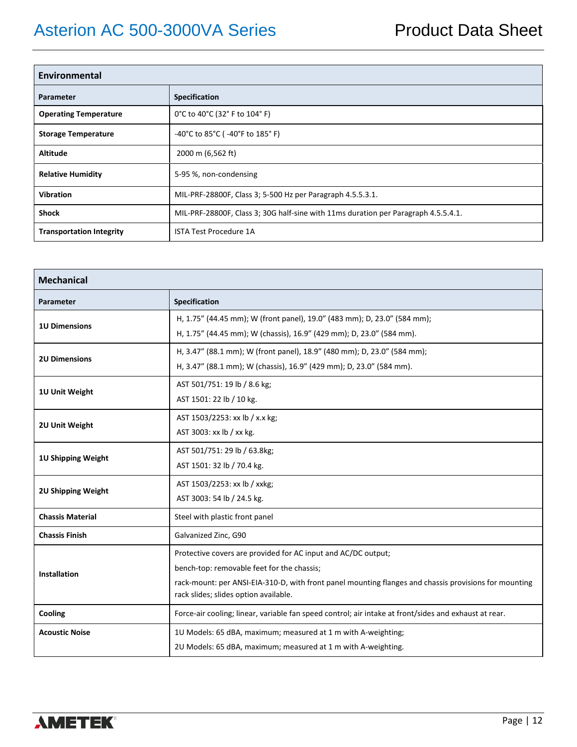| Environmental                   |                                                                                    |  |
|---------------------------------|------------------------------------------------------------------------------------|--|
| Parameter                       | Specification                                                                      |  |
| <b>Operating Temperature</b>    | 0°C to 40°C (32°F to 104°F)                                                        |  |
| <b>Storage Temperature</b>      | -40°C to 85°C (-40°F to 185°F)                                                     |  |
| <b>Altitude</b>                 | 2000 m (6,562 ft)                                                                  |  |
| <b>Relative Humidity</b>        | 5-95 %, non-condensing                                                             |  |
| <b>Vibration</b>                | MIL-PRF-28800F, Class 3; 5-500 Hz per Paragraph 4.5.5.3.1.                         |  |
| <b>Shock</b>                    | MIL-PRF-28800F, Class 3; 30G half-sine with 11ms duration per Paragraph 4.5.5.4.1. |  |
| <b>Transportation Integrity</b> | <b>ISTA Test Procedure 1A</b>                                                      |  |

| <b>Mechanical</b>         |                                                                                                                                                                                                                                                               |  |
|---------------------------|---------------------------------------------------------------------------------------------------------------------------------------------------------------------------------------------------------------------------------------------------------------|--|
| <b>Parameter</b>          | <b>Specification</b>                                                                                                                                                                                                                                          |  |
| <b>1U Dimensions</b>      | H, 1.75" (44.45 mm); W (front panel), 19.0" (483 mm); D, 23.0" (584 mm);<br>H, 1.75" (44.45 mm); W (chassis), 16.9" (429 mm); D, 23.0" (584 mm).                                                                                                              |  |
| <b>2U Dimensions</b>      | H, 3.47" (88.1 mm); W (front panel), 18.9" (480 mm); D, 23.0" (584 mm);                                                                                                                                                                                       |  |
| 1U Unit Weight            | H, 3.47" (88.1 mm); W (chassis), 16.9" (429 mm); D, 23.0" (584 mm).<br>AST 501/751: 19 lb / 8.6 kg;<br>AST 1501: 22 lb / 10 kg.                                                                                                                               |  |
| 2U Unit Weight            | AST 1503/2253: xx lb / x.x kg;<br>AST 3003: xx lb / xx kg.                                                                                                                                                                                                    |  |
| 1U Shipping Weight        | AST 501/751: 29 lb / 63.8kg;<br>AST 1501: 32 lb / 70.4 kg.                                                                                                                                                                                                    |  |
| <b>2U Shipping Weight</b> | AST 1503/2253: xx lb / xxkg;<br>AST 3003: 54 lb / 24.5 kg.                                                                                                                                                                                                    |  |
| <b>Chassis Material</b>   | Steel with plastic front panel                                                                                                                                                                                                                                |  |
| <b>Chassis Finish</b>     | Galvanized Zinc, G90                                                                                                                                                                                                                                          |  |
| <b>Installation</b>       | Protective covers are provided for AC input and AC/DC output;<br>bench-top: removable feet for the chassis;<br>rack-mount: per ANSI-EIA-310-D, with front panel mounting flanges and chassis provisions for mounting<br>rack slides; slides option available. |  |
| Cooling                   | Force-air cooling; linear, variable fan speed control; air intake at front/sides and exhaust at rear.                                                                                                                                                         |  |
| <b>Acoustic Noise</b>     | 10 Models: 65 dBA, maximum; measured at 1 m with A-weighting;<br>2U Models: 65 dBA, maximum; measured at 1 m with A-weighting.                                                                                                                                |  |

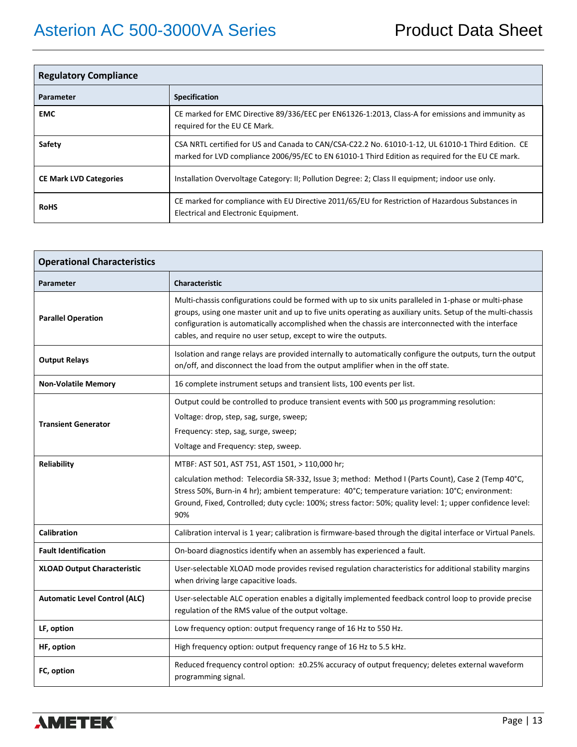| <b>Regulatory Compliance</b>  |                                                                                                                                                                                                        |  |  |  |  |  |  |  |
|-------------------------------|--------------------------------------------------------------------------------------------------------------------------------------------------------------------------------------------------------|--|--|--|--|--|--|--|
| Parameter                     | <b>Specification</b>                                                                                                                                                                                   |  |  |  |  |  |  |  |
| <b>EMC</b>                    | CE marked for EMC Directive 89/336/EEC per EN61326-1:2013, Class-A for emissions and immunity as<br>required for the EU CE Mark.                                                                       |  |  |  |  |  |  |  |
| Safety                        | CSA NRTL certified for US and Canada to CAN/CSA-C22.2 No. 61010-1-12, UL 61010-1 Third Edition. CE<br>marked for LVD compliance 2006/95/EC to EN 61010-1 Third Edition as required for the EU CE mark. |  |  |  |  |  |  |  |
| <b>CE Mark LVD Categories</b> | Installation Overvoltage Category: II; Pollution Degree: 2; Class II equipment; indoor use only.                                                                                                       |  |  |  |  |  |  |  |
| <b>RoHS</b>                   | CE marked for compliance with EU Directive 2011/65/EU for Restriction of Hazardous Substances in<br>Electrical and Electronic Equipment.                                                               |  |  |  |  |  |  |  |

| <b>Operational Characteristics</b>   |                                                                                                                                                                                                                                                                                                                                                                                               |
|--------------------------------------|-----------------------------------------------------------------------------------------------------------------------------------------------------------------------------------------------------------------------------------------------------------------------------------------------------------------------------------------------------------------------------------------------|
| Parameter                            | <b>Characteristic</b>                                                                                                                                                                                                                                                                                                                                                                         |
| <b>Parallel Operation</b>            | Multi-chassis configurations could be formed with up to six units paralleled in 1-phase or multi-phase<br>groups, using one master unit and up to five units operating as auxiliary units. Setup of the multi-chassis<br>configuration is automatically accomplished when the chassis are interconnected with the interface<br>cables, and require no user setup, except to wire the outputs. |
| <b>Output Relays</b>                 | Isolation and range relays are provided internally to automatically configure the outputs, turn the output<br>on/off, and disconnect the load from the output amplifier when in the off state.                                                                                                                                                                                                |
| <b>Non-Volatile Memory</b>           | 16 complete instrument setups and transient lists, 100 events per list.                                                                                                                                                                                                                                                                                                                       |
| <b>Transient Generator</b>           | Output could be controlled to produce transient events with 500 µs programming resolution:<br>Voltage: drop, step, sag, surge, sweep;<br>Frequency: step, sag, surge, sweep;<br>Voltage and Frequency: step, sweep.                                                                                                                                                                           |
| Reliability                          | MTBF: AST 501, AST 751, AST 1501, > 110,000 hr;<br>calculation method: Telecordia SR-332, Issue 3; method: Method I (Parts Count), Case 2 (Temp 40°C,<br>Stress 50%, Burn-in 4 hr); ambient temperature: 40°C; temperature variation: 10°C; environment:<br>Ground, Fixed, Controlled; duty cycle: 100%; stress factor: 50%; quality level: 1; upper confidence level:<br>90%                 |
| <b>Calibration</b>                   | Calibration interval is 1 year; calibration is firmware-based through the digital interface or Virtual Panels.                                                                                                                                                                                                                                                                                |
| <b>Fault Identification</b>          | On-board diagnostics identify when an assembly has experienced a fault.                                                                                                                                                                                                                                                                                                                       |
| <b>XLOAD Output Characteristic</b>   | User-selectable XLOAD mode provides revised regulation characteristics for additional stability margins<br>when driving large capacitive loads.                                                                                                                                                                                                                                               |
| <b>Automatic Level Control (ALC)</b> | User-selectable ALC operation enables a digitally implemented feedback control loop to provide precise<br>regulation of the RMS value of the output voltage.                                                                                                                                                                                                                                  |
| LF, option                           | Low frequency option: output frequency range of 16 Hz to 550 Hz.                                                                                                                                                                                                                                                                                                                              |
| HF, option                           | High frequency option: output frequency range of 16 Hz to 5.5 kHz.                                                                                                                                                                                                                                                                                                                            |
| FC, option                           | Reduced frequency control option: ±0.25% accuracy of output frequency; deletes external waveform<br>programming signal.                                                                                                                                                                                                                                                                       |

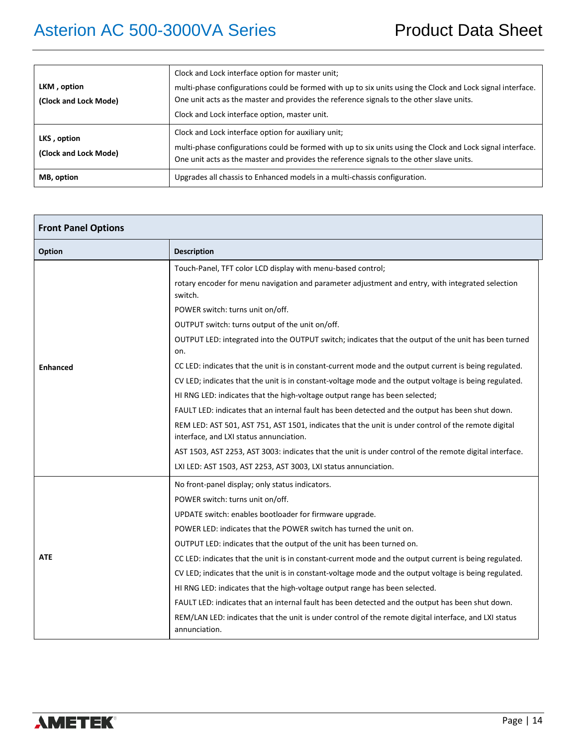|                                      | Clock and Lock interface option for master unit;                                                                                                                                                                                                              |  |  |  |  |  |  |  |
|--------------------------------------|---------------------------------------------------------------------------------------------------------------------------------------------------------------------------------------------------------------------------------------------------------------|--|--|--|--|--|--|--|
| LKM, option<br>(Clock and Lock Mode) | multi-phase configurations could be formed with up to six units using the Clock and Lock signal interface.<br>One unit acts as the master and provides the reference signals to the other slave units.<br>Clock and Lock interface option, master unit.       |  |  |  |  |  |  |  |
| LKS, option<br>(Clock and Lock Mode) | Clock and Lock interface option for auxiliary unit;<br>multi-phase configurations could be formed with up to six units using the Clock and Lock signal interface.<br>One unit acts as the master and provides the reference signals to the other slave units. |  |  |  |  |  |  |  |
| MB, option                           | Upgrades all chassis to Enhanced models in a multi-chassis configuration.                                                                                                                                                                                     |  |  |  |  |  |  |  |

| <b>Front Panel Options</b> |                                                                                                                                                |  |  |  |  |  |
|----------------------------|------------------------------------------------------------------------------------------------------------------------------------------------|--|--|--|--|--|
| Option                     | <b>Description</b>                                                                                                                             |  |  |  |  |  |
|                            | Touch-Panel, TFT color LCD display with menu-based control;                                                                                    |  |  |  |  |  |
|                            | rotary encoder for menu navigation and parameter adjustment and entry, with integrated selection<br>switch.                                    |  |  |  |  |  |
|                            | POWER switch: turns unit on/off.                                                                                                               |  |  |  |  |  |
|                            | OUTPUT switch: turns output of the unit on/off.                                                                                                |  |  |  |  |  |
|                            | OUTPUT LED: integrated into the OUTPUT switch; indicates that the output of the unit has been turned<br>on.                                    |  |  |  |  |  |
| <b>Enhanced</b>            | CC LED: indicates that the unit is in constant-current mode and the output current is being regulated.                                         |  |  |  |  |  |
|                            | CV LED; indicates that the unit is in constant-voltage mode and the output voltage is being regulated.                                         |  |  |  |  |  |
|                            | HI RNG LED: indicates that the high-voltage output range has been selected;                                                                    |  |  |  |  |  |
|                            | FAULT LED: indicates that an internal fault has been detected and the output has been shut down.                                               |  |  |  |  |  |
|                            | REM LED: AST 501, AST 751, AST 1501, indicates that the unit is under control of the remote digital<br>interface, and LXI status annunciation. |  |  |  |  |  |
|                            | AST 1503, AST 2253, AST 3003: indicates that the unit is under control of the remote digital interface.                                        |  |  |  |  |  |
|                            | LXI LED: AST 1503, AST 2253, AST 3003, LXI status annunciation.                                                                                |  |  |  |  |  |
|                            | No front-panel display; only status indicators.                                                                                                |  |  |  |  |  |
|                            | POWER switch: turns unit on/off.                                                                                                               |  |  |  |  |  |
|                            | UPDATE switch: enables bootloader for firmware upgrade.                                                                                        |  |  |  |  |  |
|                            | POWER LED: indicates that the POWER switch has turned the unit on.                                                                             |  |  |  |  |  |
|                            | OUTPUT LED: indicates that the output of the unit has been turned on.                                                                          |  |  |  |  |  |
| <b>ATE</b>                 | CC LED: indicates that the unit is in constant-current mode and the output current is being regulated.                                         |  |  |  |  |  |
|                            | CV LED; indicates that the unit is in constant-voltage mode and the output voltage is being regulated.                                         |  |  |  |  |  |
|                            | HI RNG LED: indicates that the high-voltage output range has been selected.                                                                    |  |  |  |  |  |
|                            | FAULT LED: indicates that an internal fault has been detected and the output has been shut down.                                               |  |  |  |  |  |
|                            | REM/LAN LED: indicates that the unit is under control of the remote digital interface, and LXI status<br>annunciation.                         |  |  |  |  |  |

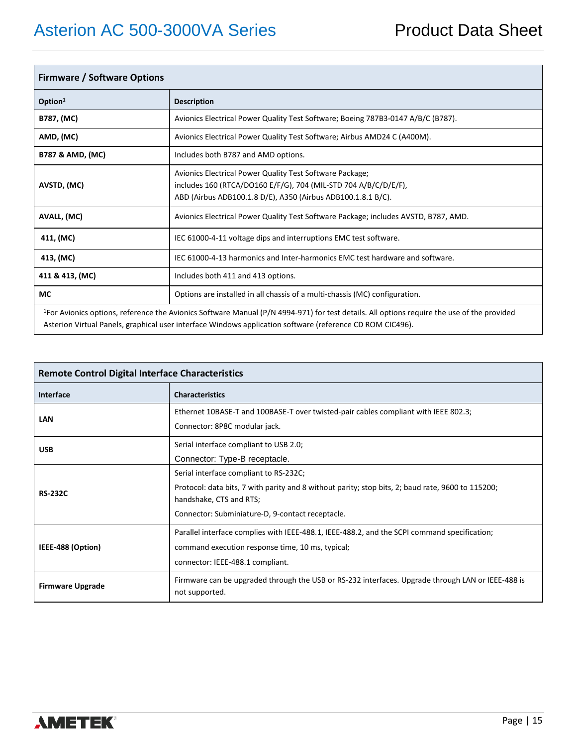| <b>Firmware / Software Options</b> |                                                                                                                                                                                                                                                                     |  |  |  |  |  |  |
|------------------------------------|---------------------------------------------------------------------------------------------------------------------------------------------------------------------------------------------------------------------------------------------------------------------|--|--|--|--|--|--|
| Option <sup>1</sup>                | <b>Description</b>                                                                                                                                                                                                                                                  |  |  |  |  |  |  |
| B787, (MC)                         | Avionics Electrical Power Quality Test Software; Boeing 787B3-0147 A/B/C (B787).                                                                                                                                                                                    |  |  |  |  |  |  |
| AMD, (MC)                          | Avionics Electrical Power Quality Test Software; Airbus AMD24 C (A400M).                                                                                                                                                                                            |  |  |  |  |  |  |
| <b>B787 &amp; AMD, (MC)</b>        | Includes both B787 and AMD options.                                                                                                                                                                                                                                 |  |  |  |  |  |  |
| AVSTD, (MC)                        | Avionics Electrical Power Quality Test Software Package;<br>includes 160 (RTCA/DO160 E/F/G), 704 (MIL-STD 704 A/B/C/D/E/F),<br>ABD (Airbus ADB100.1.8 D/E), A350 (Airbus ADB100.1.8.1 B/C).                                                                         |  |  |  |  |  |  |
| AVALL, (MC)                        | Avionics Electrical Power Quality Test Software Package; includes AVSTD, B787, AMD.                                                                                                                                                                                 |  |  |  |  |  |  |
| 411, (MC)                          | IEC 61000-4-11 voltage dips and interruptions EMC test software.                                                                                                                                                                                                    |  |  |  |  |  |  |
| 413, (MC)                          | IEC 61000-4-13 harmonics and Inter-harmonics EMC test hardware and software.                                                                                                                                                                                        |  |  |  |  |  |  |
| 411 & 413, (MC)                    | Includes both 411 and 413 options.                                                                                                                                                                                                                                  |  |  |  |  |  |  |
| <b>MC</b>                          | Options are installed in all chassis of a multi-chassis (MC) configuration.                                                                                                                                                                                         |  |  |  |  |  |  |
|                                    | <sup>1</sup> For Avionics options, reference the Avionics Software Manual (P/N 4994-971) for test details. All options require the use of the provided<br>Asterion Virtual Panels, graphical user interface Windows application software (reference CD ROM CIC496). |  |  |  |  |  |  |

| <b>Remote Control Digital Interface Characteristics</b> |                                                                                                                                                                                                                            |  |  |  |  |  |  |
|---------------------------------------------------------|----------------------------------------------------------------------------------------------------------------------------------------------------------------------------------------------------------------------------|--|--|--|--|--|--|
| Interface                                               | <b>Characteristics</b>                                                                                                                                                                                                     |  |  |  |  |  |  |
| LAN                                                     | Ethernet 10BASE-T and 100BASE-T over twisted-pair cables compliant with IEEE 802.3;<br>Connector: 8P8C modular jack.                                                                                                       |  |  |  |  |  |  |
| <b>USB</b>                                              | Serial interface compliant to USB 2.0;<br>Connector: Type-B receptacle.                                                                                                                                                    |  |  |  |  |  |  |
| <b>RS-232C</b>                                          | Serial interface compliant to RS-232C;<br>Protocol: data bits, 7 with parity and 8 without parity; stop bits, 2; baud rate, 9600 to 115200;<br>handshake, CTS and RTS;<br>Connector: Subminiature-D, 9-contact receptacle. |  |  |  |  |  |  |
| IEEE-488 (Option)                                       | Parallel interface complies with IEEE-488.1, IEEE-488.2, and the SCPI command specification;<br>command execution response time, 10 ms, typical;<br>connector: IEEE-488.1 compliant.                                       |  |  |  |  |  |  |
| <b>Firmware Upgrade</b>                                 | Firmware can be upgraded through the USB or RS-232 interfaces. Upgrade through LAN or IEEE-488 is<br>not supported.                                                                                                        |  |  |  |  |  |  |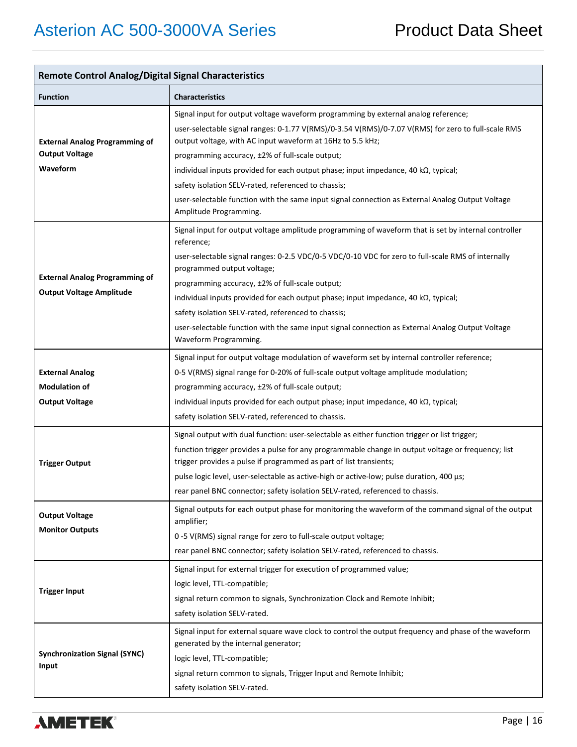| <b>Remote Control Analog/Digital Signal Characteristics</b>                |                                                                                                                                                                                                                                                                                                                                                                                                                                                                                                                                                                                               |  |  |  |  |  |  |
|----------------------------------------------------------------------------|-----------------------------------------------------------------------------------------------------------------------------------------------------------------------------------------------------------------------------------------------------------------------------------------------------------------------------------------------------------------------------------------------------------------------------------------------------------------------------------------------------------------------------------------------------------------------------------------------|--|--|--|--|--|--|
| <b>Function</b>                                                            | <b>Characteristics</b>                                                                                                                                                                                                                                                                                                                                                                                                                                                                                                                                                                        |  |  |  |  |  |  |
| <b>External Analog Programming of</b><br><b>Output Voltage</b><br>Waveform | Signal input for output voltage waveform programming by external analog reference;<br>user-selectable signal ranges: 0-1.77 V(RMS)/0-3.54 V(RMS)/0-7.07 V(RMS) for zero to full-scale RMS<br>output voltage, with AC input waveform at 16Hz to 5.5 kHz;<br>programming accuracy, ±2% of full-scale output;<br>individual inputs provided for each output phase; input impedance, 40 $k\Omega$ , typical;<br>safety isolation SELV-rated, referenced to chassis;<br>user-selectable function with the same input signal connection as External Analog Output Voltage<br>Amplitude Programming. |  |  |  |  |  |  |
| <b>External Analog Programming of</b><br><b>Output Voltage Amplitude</b>   | Signal input for output voltage amplitude programming of waveform that is set by internal controller<br>reference;<br>user-selectable signal ranges: 0-2.5 VDC/0-5 VDC/0-10 VDC for zero to full-scale RMS of internally<br>programmed output voltage;<br>programming accuracy, ±2% of full-scale output;<br>individual inputs provided for each output phase; input impedance, 40 kΩ, typical;<br>safety isolation SELV-rated, referenced to chassis;<br>user-selectable function with the same input signal connection as External Analog Output Voltage<br>Waveform Programming.           |  |  |  |  |  |  |
| <b>External Analog</b><br><b>Modulation of</b><br><b>Output Voltage</b>    | Signal input for output voltage modulation of waveform set by internal controller reference;<br>0-5 V(RMS) signal range for 0-20% of full-scale output voltage amplitude modulation;<br>programming accuracy, ±2% of full-scale output;<br>individual inputs provided for each output phase; input impedance, 40 $k\Omega$ , typical;<br>safety isolation SELV-rated, referenced to chassis.                                                                                                                                                                                                  |  |  |  |  |  |  |
| <b>Trigger Output</b>                                                      | Signal output with dual function: user-selectable as either function trigger or list trigger;<br>function trigger provides a pulse for any programmable change in output voltage or frequency; list<br>trigger provides a pulse if programmed as part of list transients;<br>pulse logic level, user-selectable as active-high or active-low; pulse duration, 400 µs;<br>rear panel BNC connector; safety isolation SELV-rated, referenced to chassis.                                                                                                                                        |  |  |  |  |  |  |
| <b>Output Voltage</b><br><b>Monitor Outputs</b>                            | Signal outputs for each output phase for monitoring the waveform of the command signal of the output<br>amplifier;<br>0-5 V(RMS) signal range for zero to full-scale output voltage;<br>rear panel BNC connector; safety isolation SELV-rated, referenced to chassis.                                                                                                                                                                                                                                                                                                                         |  |  |  |  |  |  |
| <b>Trigger Input</b>                                                       | Signal input for external trigger for execution of programmed value;<br>logic level, TTL-compatible;<br>signal return common to signals, Synchronization Clock and Remote Inhibit;<br>safety isolation SELV-rated.                                                                                                                                                                                                                                                                                                                                                                            |  |  |  |  |  |  |
| <b>Synchronization Signal (SYNC)</b><br>Input                              | Signal input for external square wave clock to control the output frequency and phase of the waveform<br>generated by the internal generator;<br>logic level, TTL-compatible;<br>signal return common to signals, Trigger Input and Remote Inhibit;<br>safety isolation SELV-rated.                                                                                                                                                                                                                                                                                                           |  |  |  |  |  |  |

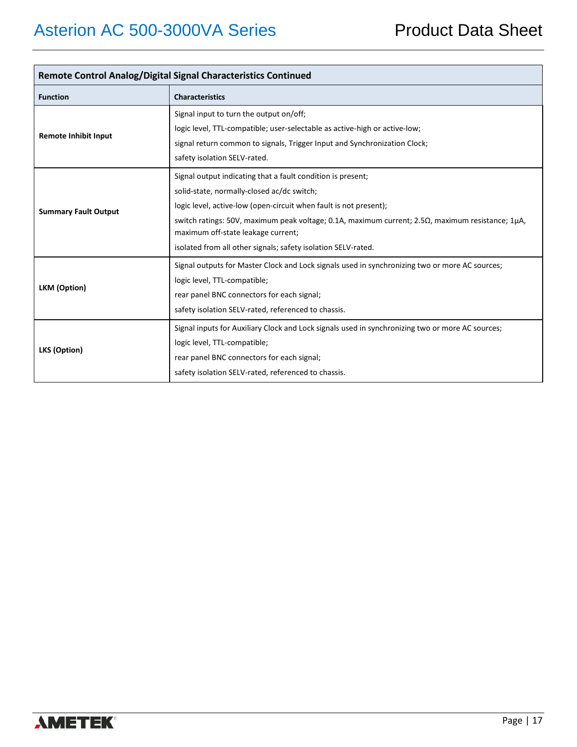| <b>Remote Control Analog/Digital Signal Characteristics Continued</b> |                                                                                                                                                                                                                                                                                                                                                                                                         |  |  |  |  |  |  |
|-----------------------------------------------------------------------|---------------------------------------------------------------------------------------------------------------------------------------------------------------------------------------------------------------------------------------------------------------------------------------------------------------------------------------------------------------------------------------------------------|--|--|--|--|--|--|
| <b>Function</b>                                                       | <b>Characteristics</b>                                                                                                                                                                                                                                                                                                                                                                                  |  |  |  |  |  |  |
| <b>Remote Inhibit Input</b>                                           | Signal input to turn the output on/off;<br>logic level, TTL-compatible; user-selectable as active-high or active-low;<br>signal return common to signals, Trigger Input and Synchronization Clock;<br>safety isolation SELV-rated.                                                                                                                                                                      |  |  |  |  |  |  |
| <b>Summary Fault Output</b>                                           | Signal output indicating that a fault condition is present;<br>solid-state, normally-closed ac/dc switch;<br>logic level, active-low (open-circuit when fault is not present);<br>switch ratings: 50V, maximum peak voltage; 0.1A, maximum current; $2.5\Omega$ , maximum resistance; 1 $\mu$ A,<br>maximum off-state leakage current;<br>isolated from all other signals; safety isolation SELV-rated. |  |  |  |  |  |  |
| LKM (Option)                                                          | Signal outputs for Master Clock and Lock signals used in synchronizing two or more AC sources;<br>logic level, TTL-compatible;<br>rear panel BNC connectors for each signal;<br>safety isolation SELV-rated, referenced to chassis.                                                                                                                                                                     |  |  |  |  |  |  |
| LKS (Option)                                                          | Signal inputs for Auxiliary Clock and Lock signals used in synchronizing two or more AC sources;<br>logic level, TTL-compatible;<br>rear panel BNC connectors for each signal;<br>safety isolation SELV-rated, referenced to chassis.                                                                                                                                                                   |  |  |  |  |  |  |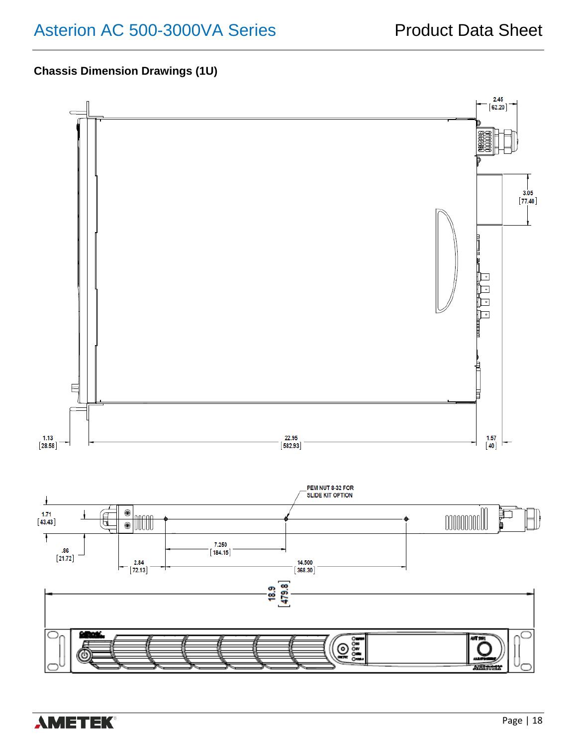### **Chassis Dimension Drawings (1U)**

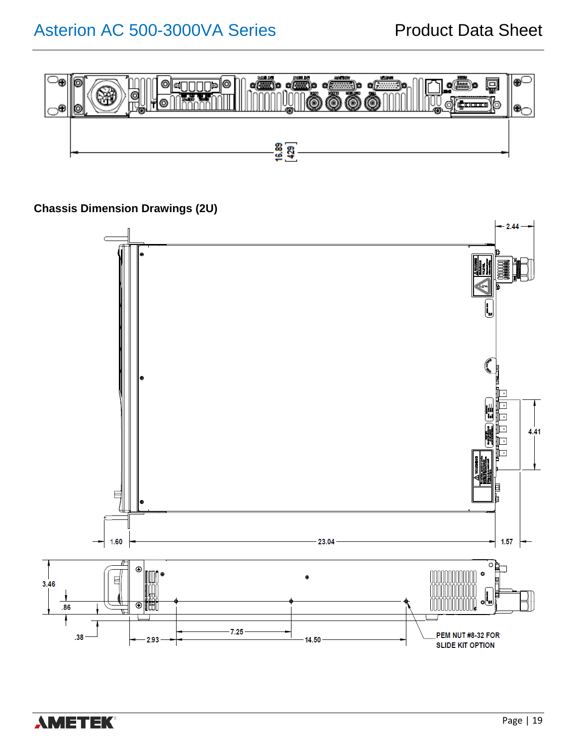

**Chassis Dimension Drawings (2U)**



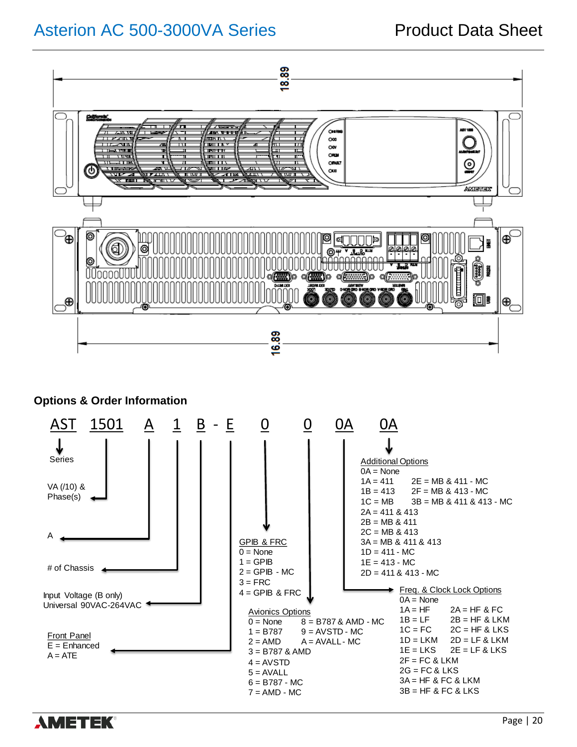

### **Options & Order Information**



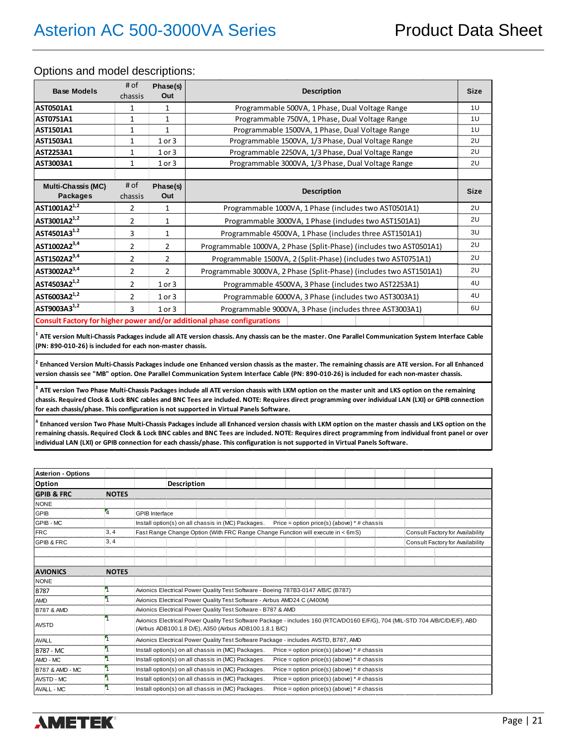#### Options and model descriptions:

| <b>Base Models</b>                           | # of<br>chassis | Phase(s)<br>Out | <b>Description</b>                                                                                                                                   | <b>Size</b> |
|----------------------------------------------|-----------------|-----------------|------------------------------------------------------------------------------------------------------------------------------------------------------|-------------|
| <b>AST0501A1</b>                             | 1               | $\mathbf{1}$    | Programmable 500VA, 1 Phase, Dual Voltage Range                                                                                                      | 1U          |
| <b>AST0751A1</b>                             | 1               | 1               | Programmable 750VA, 1 Phase, Dual Voltage Range                                                                                                      | 1U          |
| <b>AST1501A1</b>                             | $\mathbf{1}$    | $\mathbf{1}$    | Programmable 1500VA, 1 Phase, Dual Voltage Range                                                                                                     | 1U          |
| <b>AST1503A1</b>                             | $\mathbf{1}$    | $1$ or $3$      | Programmable 1500VA, 1/3 Phase, Dual Voltage Range                                                                                                   | 2U          |
| <b>AST2253A1</b>                             | $\mathbf{1}$    | $1$ or $3$      | Programmable 2250VA, 1/3 Phase, Dual Voltage Range                                                                                                   | 2U          |
| AST3003A1                                    | 1               | $1$ or $3$      | Programmable 3000VA, 1/3 Phase, Dual Voltage Range                                                                                                   | 2U          |
|                                              |                 |                 |                                                                                                                                                      |             |
| <b>Multi-Chassis (MC)</b><br><b>Packages</b> | # of<br>chassis | Phase(s)<br>Out | <b>Description</b>                                                                                                                                   | <b>Size</b> |
| AST1001A2 <sup>1,2</sup>                     | $\overline{2}$  | $\mathbf{1}$    | Programmable 1000VA, 1 Phase (includes two AST0501A1)                                                                                                | 2U          |
| AST3001A2 <sup>1,2</sup>                     | $\overline{2}$  | $\mathbf{1}$    | Programmable 3000VA, 1 Phase (includes two AST1501A1)                                                                                                | 2U          |
| AST4501A3 <sup>1.2</sup>                     | 3               | $\mathbf{1}$    | Programmable 4500VA, 1 Phase (includes three AST1501A1)                                                                                              | 3U          |
| AST1002A2 <sup>3,4</sup>                     | $\overline{2}$  | $\overline{2}$  | Programmable 1000VA, 2 Phase (Split-Phase) (includes two AST0501A1)                                                                                  | 2U          |
| AST1502A2 <sup>3,4</sup>                     | $\overline{2}$  | $\overline{2}$  | Programmable 1500VA, 2 (Split-Phase) (includes two AST0751A1)                                                                                        | 2U          |
| AST3002A2 <sup>3,4</sup>                     | $\overline{2}$  | $\overline{2}$  | Programmable 3000VA, 2 Phase (Split-Phase) (includes two AST1501A1)                                                                                  | 2U          |
| AST4503A2 <sup>1,2</sup>                     | $\overline{2}$  | $1$ or $3$      | Programmable 4500VA, 3 Phase (includes two AST2253A1)                                                                                                | 4U          |
| AST6003A2 <sup>1,2</sup>                     | 2               | $1$ or $3$      | Programmable 6000VA, 3 Phase (includes two AST3003A1)                                                                                                | 4U          |
| AST9003A3 <sup>1,2</sup>                     | 3               | $1$ or $3$      | Programmable 9000VA, 3 Phase (includes three AST3003A1)                                                                                              | 6U          |
|                                              |                 |                 | Consult Factory for higher power and/or additional phase configurations                                                                              |             |
|                                              |                 |                 | ATE version Multi-Chassis Packages include all ATE version chassis. Any chassis can be the master. One Parallel Communication System Interface Cable |             |

**(PN: 890-010-26) is included for each non-master chassis.**

**2 Enhanced Version Multi-Chassis Packages include one Enhanced version chassis as the master. The remaining chassis are ATE version. For all Enhanced version chassis see "MB" option. One Parallel Communication System Interface Cable (PN: 890-010-26) is included for each non-master chassis.**

**3 ATE version Two Phase Multi-Chassis Packages include all ATE version chassis with LKM option on the master unit and LKS option on the remaining chassis. Required Clock & Lock BNC cables and BNC Tees are included. NOTE: Requires direct programming over individual LAN (LXI) or GPIB connection for each chassis/phase. This configuration is not supported in Virtual Panels Software.**

**4 Enhanced version Two Phase Multi-Chassis Packages include all Enhanced version chassis with LKM option on the master chassis and LKS option on the remaining chassis. Required Clock & Lock BNC cables and BNC Tees are included. NOTE: Requires direct programming from individual front panel or over individual LAN (LXI) or GPIB connection for each chassis/phase. This configuration is not supported in Virtual Panels Software.**

| <b>Asterion - Options</b>  |              |                       |             |                                                                          |  |                                                                                     |  |                                                                                                                               |
|----------------------------|--------------|-----------------------|-------------|--------------------------------------------------------------------------|--|-------------------------------------------------------------------------------------|--|-------------------------------------------------------------------------------------------------------------------------------|
| Option                     |              |                       | Description |                                                                          |  |                                                                                     |  |                                                                                                                               |
| <b>GPIB &amp; FRC</b>      | <b>NOTES</b> |                       |             |                                                                          |  |                                                                                     |  |                                                                                                                               |
| <b>NONE</b>                |              |                       |             |                                                                          |  |                                                                                     |  |                                                                                                                               |
| <b>GPIB</b>                | 4            | <b>GPIB</b> Interface |             |                                                                          |  |                                                                                     |  |                                                                                                                               |
| GPIB - MC                  |              |                       |             | Install option(s) on all chassis in (MC) Packages.                       |  | Price = option price(s) (above) $*$ # chassis                                       |  |                                                                                                                               |
| <b>FRC</b>                 | 3, 4         |                       |             |                                                                          |  | Fast Range Change Option (With FRC Range Change Function will execute in < 6mS)     |  | Consult Factory for Availability                                                                                              |
| <b>GPIB &amp; FRC</b>      | 3, 4         |                       |             |                                                                          |  |                                                                                     |  | Consult Factory for Availability                                                                                              |
|                            |              |                       |             |                                                                          |  |                                                                                     |  |                                                                                                                               |
|                            |              |                       |             |                                                                          |  |                                                                                     |  |                                                                                                                               |
| <b>AVIONICS</b>            | <b>NOTES</b> |                       |             |                                                                          |  |                                                                                     |  |                                                                                                                               |
| <b>NONE</b>                |              |                       |             |                                                                          |  |                                                                                     |  |                                                                                                                               |
| <b>B787</b>                |              |                       |             |                                                                          |  | Avionics Electrical Power Quality Test Software - Boeing 787B3-0147 A/B/C (B787)    |  |                                                                                                                               |
| <b>AMD</b>                 |              |                       |             | Avionics Electrical Power Quality Test Software - Airbus AMD24 C (A400M) |  |                                                                                     |  |                                                                                                                               |
| <b>B787 &amp; AMD</b>      |              |                       |             | Avionics Electrical Power Quality Test Software - B787 & AMD             |  |                                                                                     |  |                                                                                                                               |
| <b>AVSTD</b>               |              |                       |             | (Airbus ADB100.1.8 D/E), A350 (Airbus ADB100.1.8.1 B/C)                  |  |                                                                                     |  | Avionics Electrical Power Quality Test Software Package - includes 160 (RTCA/DO160 E/F/G), 704 (MIL-STD 704 A/B/C/D/E/F), ABD |
| <b>AVALL</b>               |              |                       |             |                                                                          |  | Avionics Electrical Power Quality Test Software Package - includes AVSTD, B787, AMD |  |                                                                                                                               |
| <b>B787 - MC</b>           |              |                       |             | Install option(s) on all chassis in (MC) Packages.                       |  | Price = option price(s) (above) $*$ # chassis                                       |  |                                                                                                                               |
| AMD - MC                   |              |                       |             | Install option(s) on all chassis in (MC) Packages.                       |  | Price = option price(s) (above) $*$ # chassis                                       |  |                                                                                                                               |
| <b>B787 &amp; AMD - MC</b> |              |                       |             | Install option(s) on all chassis in (MC) Packages.                       |  | Price = option price(s) (above) $*$ # chassis                                       |  |                                                                                                                               |
| <b>AVSTD - MC</b>          |              |                       |             | Install option(s) on all chassis in (MC) Packages.                       |  | Price = option price(s) (above) $*$ # chassis                                       |  |                                                                                                                               |
| <b>AVALL - MC</b>          |              |                       |             | Install option(s) on all chassis in (MC) Packages.                       |  | Price = option price(s) (above) $*$ # chassis                                       |  |                                                                                                                               |